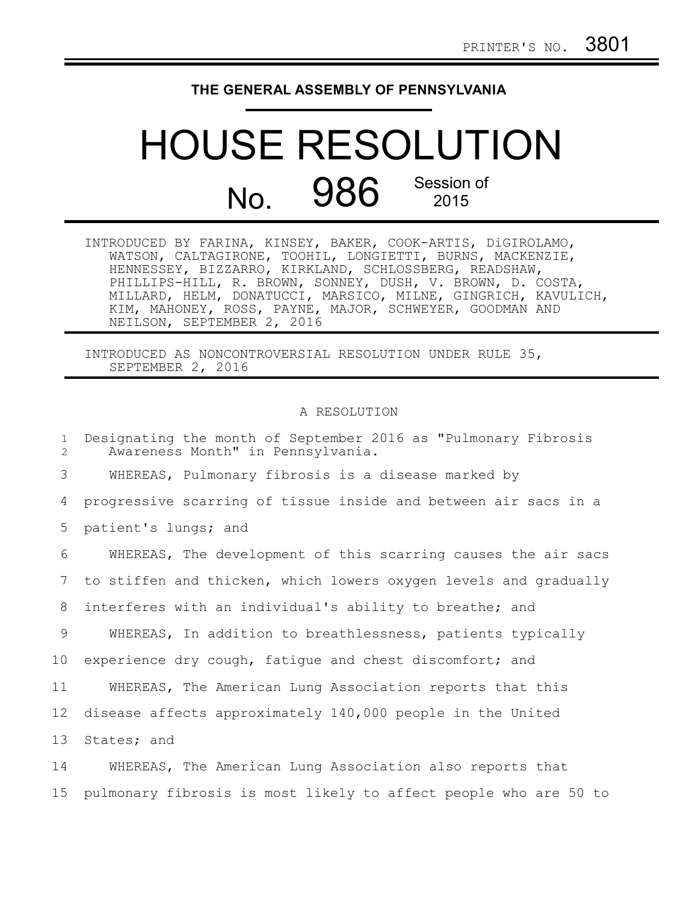## **THE GENERAL ASSEMBLY OF PENNSYLVANIA**

## HOUSE RESOLUTION No. 986 Session of 2015

| INTRODUCED BY FARINA, KINSEY, BAKER, COOK-ARTIS, DiGIROLAMO,  |
|---------------------------------------------------------------|
| WATSON, CALTAGIRONE, TOOHIL, LONGIETTI, BURNS, MACKENZIE,     |
| HENNESSEY, BIZZARRO, KIRKLAND, SCHLOSSBERG, READSHAW,         |
| PHILLIPS-HILL, R. BROWN, SONNEY, DUSH, V. BROWN, D. COSTA,    |
| MILLARD, HELM, DONATUCCI, MARSICO, MILNE, GINGRICH, KAVULICH, |
| KIM, MAHONEY, ROSS, PAYNE, MAJOR, SCHWEYER, GOODMAN AND       |
| NEILSON, SEPTEMBER 2, 2016                                    |

INTRODUCED AS NONCONTROVERSIAL RESOLUTION UNDER RULE 35, SEPTEMBER 2, 2016

## A RESOLUTION

Designating the month of September 2016 as "Pulmonary Fibrosis Awareness Month" in Pennsylvania. WHEREAS, Pulmonary fibrosis is a disease marked by progressive scarring of tissue inside and between air sacs in a patient's lungs; and WHEREAS, The development of this scarring causes the air sacs to stiffen and thicken, which lowers oxygen levels and gradually interferes with an individual's ability to breathe; and WHEREAS, In addition to breathlessness, patients typically experience dry cough, fatigue and chest discomfort; and WHEREAS, The American Lung Association reports that this disease affects approximately 140,000 people in the United States; and WHEREAS, The American Lung Association also reports that 1  $\mathcal{D}$ 3 4 5 6 7 8 9 10 11 12 13 14

pulmonary fibrosis is most likely to affect people who are 50 to

15